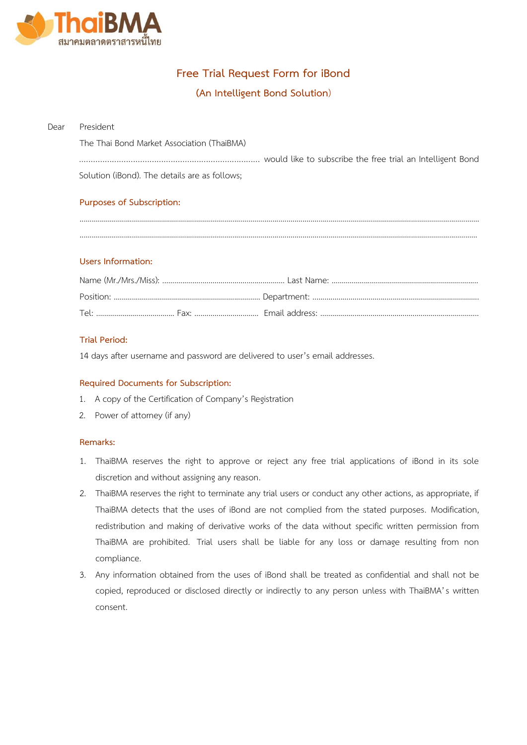

# **Free Trial Request Form for iBond**

## **(An Intelligent Bond Solution**)

#### Dear President

The Thai Bond Market Association (ThaiBMA)

| Solution (iBond). The details are as follows; |  |
|-----------------------------------------------|--|

### **Purposes of Subscription:**

....................................................................................................................................................................................................... ......................................................................................................................................................................................................

### **Users Information:**

### **Trial Period:**

14 days after username and password are delivered to user's email addresses.

### **Required Documents for Subscription:**

- 1. A copy of the Certification of Company's Registration
- 2. Power of attorney (if any)

### **Remarks:**

- 1. ThaiBMA reserves the right to approve or reject any free trial applications of iBond in its sole discretion and without assigning any reason.
- 2. ThaiBMA reserves the right to terminate any trial users or conduct any other actions, as appropriate, if ThaiBMA detects that the uses of iBond are not complied from the stated purposes. Modification, redistribution and making of derivative works of the data without specific written permission from ThaiBMA are prohibited. Trial users shall be liable for any loss or damage resulting from non compliance.
- 3. Any information obtained from the uses of iBond shall be treated as confidential and shall not be copied, reproduced or disclosed directly or indirectly to any person unless with ThaiBMA's written consent.